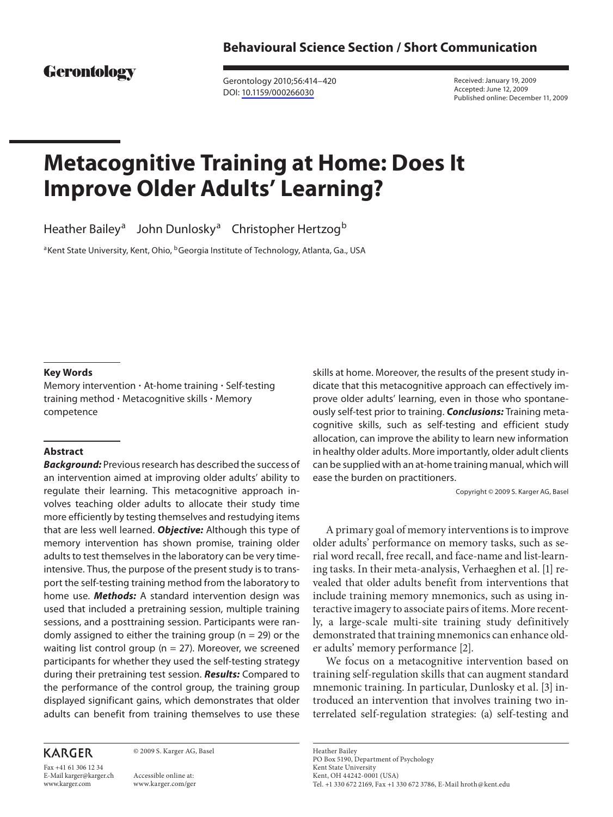**Gerontology** 

 Gerontology 2010;56:414–420 DOI: [10.1159/000266030](http://dx.doi.org/10.1159%2F000266030)

 Received: January 19, 2009 Accepted: June 12, 2009 Published online: December 11, 2009

# **Metacognitive Training at Home: Does It Improve Older Adults' Learning?**

Heather Bailey<sup>a</sup> John Dunlosky<sup>a</sup> Christopher Hertzog<sup>b</sup>

<sup>a</sup> Kent State University, Kent, Ohio, <sup>b</sup> Georgia Institute of Technology, Atlanta, Ga., USA

### **Key Words**

Memory intervention · At-home training · Self-testing training method - Metacognitive skills - Memory competence

## **Abstract**

*Background:* Previous research has described the success of an intervention aimed at improving older adults' ability to regulate their learning. This metacognitive approach involves teaching older adults to allocate their study time more efficiently by testing themselves and restudying items that are less well learned. *Objective:* Although this type of memory intervention has shown promise, training older adults to test themselves in the laboratory can be very timeintensive. Thus, the purpose of the present study is to transport the self-testing training method from the laboratory to home use. *Methods:* A standard intervention design was used that included a pretraining session, multiple training sessions, and a posttraining session. Participants were randomly assigned to either the training group ( $n = 29$ ) or the waiting list control group ( $n = 27$ ). Moreover, we screened participants for whether they used the self-testing strategy during their pretraining test session. *Results:* Compared to the performance of the control group, the training group displayed significant gains, which demonstrates that older adults can benefit from training themselves to use these

# **KARGER**

Fax +41 61 306 12 34 E-Mail karger@karger.ch www.karger.com

© 2009 S. Karger AG, Basel

 Accessible online at: www.karger.com/ger skills at home. Moreover, the results of the present study indicate that this metacognitive approach can effectively improve older adults' learning, even in those who spontaneously self-test prior to training. *Conclusions:* Training metacognitive skills, such as self-testing and efficient study allocation, can improve the ability to learn new information in healthy older adults. More importantly, older adult clients can be supplied with an at-home training manual, which will ease the burden on practitioners.

Copyright © 2009 S. Karger AG, Basel

 A primary goal of memory interventions is to improve older adults' performance on memory tasks, such as serial word recall, free recall, and face-name and list-learning tasks. In their meta-analysis, Verhaeghen et al. [1] revealed that older adults benefit from interventions that include training memory mnemonics, such as using interactive imagery to associate pairs of items. More recently, a large-scale multi-site training study definitively demonstrated that training mnemonics can enhance older adults' memory performance [2] .

 We focus on a metacognitive intervention based on training self-regulation skills that can augment standard mnemonic training. In particular, Dunlosky et al. [3] introduced an intervention that involves training two interrelated self-regulation strategies: (a) self-testing and

 Heather Bailey PO Box 5190, Department of Psychology Kent State University Kent, OH 44242-0001 (USA) Tel. +1 330 672 2169, Fax +1 330 672 3786, E-Mail hroth @ kent.edu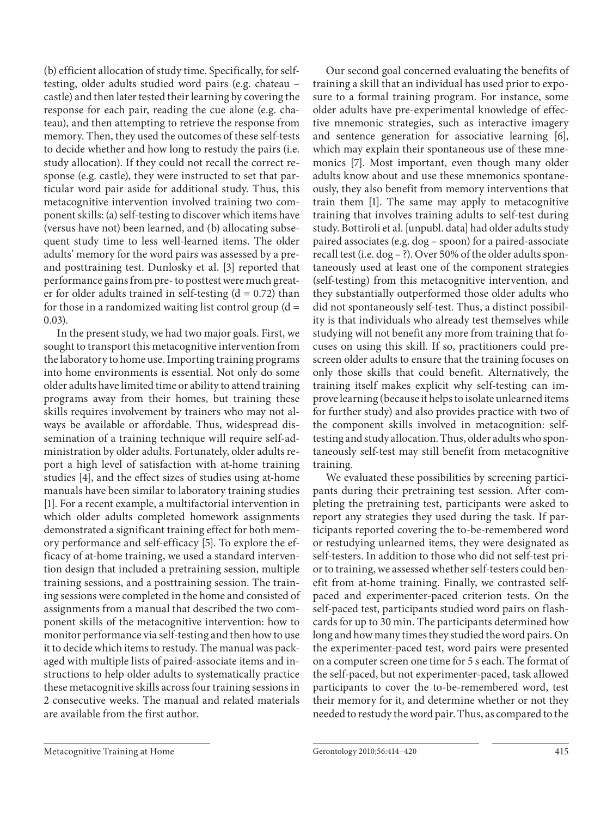(b) efficient allocation of study time. Specifically, for selftesting, older adults studied word pairs (e.g. chateau – castle) and then later tested their learning by covering the response for each pair, reading the cue alone (e.g. chateau), and then attempting to retrieve the response from memory. Then, they used the outcomes of these self-tests to decide whether and how long to restudy the pairs (i.e. study allocation). If they could not recall the correct response (e.g. castle), they were instructed to set that particular word pair aside for additional study. Thus, this metacognitive intervention involved training two component skills: (a) self-testing to discover which items have (versus have not) been learned, and (b) allocating subsequent study time to less well-learned items. The older adults' memory for the word pairs was assessed by a preand posttraining test. Dunlosky et al. [3] reported that performance gains from pre- to posttest were much greater for older adults trained in self-testing  $(d = 0.72)$  than for those in a randomized waiting list control group  $(d =$ 0.03).

 In the present study, we had two major goals. First, we sought to transport this metacognitive intervention from the laboratory to home use. Importing training programs into home environments is essential. Not only do some older adults have limited time or ability to attend training programs away from their homes, but training these skills requires involvement by trainers who may not always be available or affordable. Thus, widespread dissemination of a training technique will require self-administration by older adults. Fortunately, older adults report a high level of satisfaction with at-home training studies [4], and the effect sizes of studies using at-home manuals have been similar to laboratory training studies [1]. For a recent example, a multifactorial intervention in which older adults completed homework assignments demonstrated a significant training effect for both memory performance and self-efficacy [5] . To explore the efficacy of at-home training, we used a standard intervention design that included a pretraining session, multiple training sessions, and a posttraining session. The training sessions were completed in the home and consisted of assignments from a manual that described the two component skills of the metacognitive intervention: how to monitor performance via self-testing and then how to use it to decide which items to restudy. The manual was packaged with multiple lists of paired-associate items and instructions to help older adults to systematically practice these metacognitive skills across four training sessions in 2 consecutive weeks. The manual and related materials are available from the first author.

 Our second goal concerned evaluating the benefits of training a skill that an individual has used prior to exposure to a formal training program. For instance, some older adults have pre-experimental knowledge of effective mnemonic strategies, such as interactive imagery and sentence generation for associative learning [6], which may explain their spontaneous use of these mnemonics [7]. Most important, even though many older adults know about and use these mnemonics spontaneously, they also benefit from memory interventions that train them [1]. The same may apply to metacognitive training that involves training adults to self-test during study. Bottiroli et al. [unpubl. data] had older adults study paired associates (e.g. dog – spoon) for a paired-associate recall test (i.e. dog – ?). Over 50% of the older adults spontaneously used at least one of the component strategies (self-testing) from this metacognitive intervention, and they substantially outperformed those older adults who did not spontaneously self-test. Thus, a distinct possibility is that individuals who already test themselves while studying will not benefit any more from training that focuses on using this skill. If so, practitioners could prescreen older adults to ensure that the training focuses on only those skills that could benefit. Alternatively, the training itself makes explicit why self-testing can improve learning (because it helps to isolate unlearned items for further study) and also provides practice with two of the component skills involved in metacognition: selftesting and study allocation. Thus, older adults who spontaneously self-test may still benefit from metacognitive training.

 We evaluated these possibilities by screening participants during their pretraining test session. After completing the pretraining test, participants were asked to report any strategies they used during the task. If participants reported covering the to-be-remembered word or restudying unlearned items, they were designated as self-testers. In addition to those who did not self-test prior to training, we assessed whether self-testers could benefit from at-home training. Finally, we contrasted selfpaced and experimenter-paced criterion tests. On the self-paced test, participants studied word pairs on flashcards for up to 30 min. The participants determined how long and how many times they studied the word pairs. On the experimenter-paced test, word pairs were presented on a computer screen one time for 5 s each. The format of the self-paced, but not experimenter-paced, task allowed participants to cover the to-be-remembered word, test their memory for it, and determine whether or not they needed to restudy the word pair. Thus, as compared to the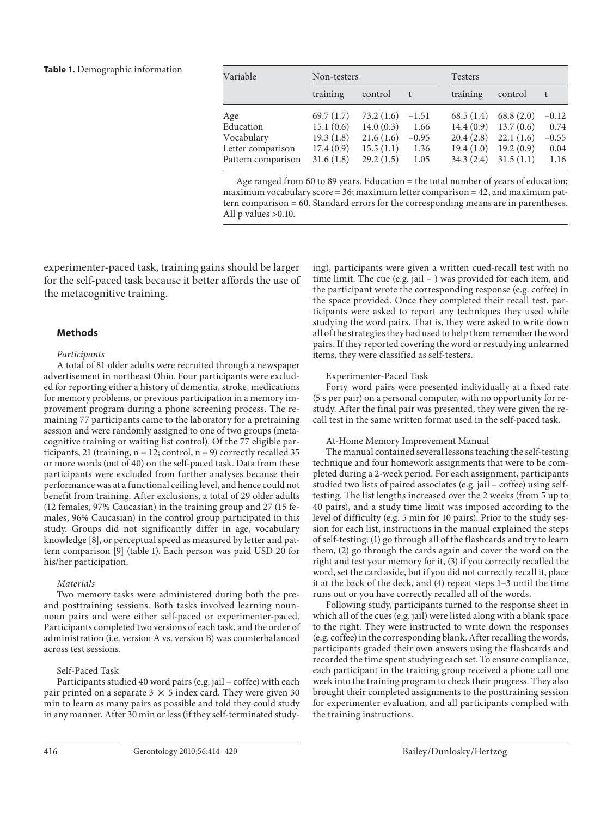#### **Table 1.** Demographic information

| Variable           | Non-testers |           |              | <b>Testers</b> |                         |         |  |
|--------------------|-------------|-----------|--------------|----------------|-------------------------|---------|--|
|                    | training    | control   | <sup>t</sup> | training       | control                 | t       |  |
| Age                | 69.7(1.7)   | 73.2(1.6) | $-1.51$      | 68.5(1.4)      | 68.8(2.0)               | $-0.12$ |  |
| Education          | 15.1(0.6)   | 14.0(0.3) | 1.66         | 14.4(0.9)      | 13.7(0.6)               | 0.74    |  |
| Vocabulary         | 19.3(1.8)   | 21.6(1.6) | $-0.95$      | 20.4(2.8)      | 22.1(1.6)               | $-0.55$ |  |
| Letter comparison  | 17.4(0.9)   | 15.5(1.1) | 1.36         | 19.4(1.0)      | 19.2(0.9)               | 0.04    |  |
| Pattern comparison | 31.6(1.8)   | 29.2(1.5) | 1.05         |                | $34.3(2.4)$ $31.5(1.1)$ | 1.16    |  |

Age ranged from 60 to 89 years. Education = the total number of years of education; maximum vocabulary score =  $36$ ; maximum letter comparison =  $42$ , and maximum pattern comparison = 60. Standard errors for the corresponding means are in parentheses. All p values >0.10.

experimenter-paced task, training gains should be larger for the self-paced task because it better affords the use of the metacognitive training.

#### **Methods**

#### *Participants*

 A total of 81 older adults were recruited through a newspaper advertisement in northeast Ohio. Four participants were excluded for reporting either a history of dementia, stroke, medications for memory problems, or previous participation in a memory improvement program during a phone screening process. The remaining 77 participants came to the laboratory for a pretraining session and were randomly assigned to one of two groups (metacognitive training or waiting list control). Of the 77 eligible participants, 21 (training,  $n = 12$ ; control,  $n = 9$ ) correctly recalled 35 or more words (out of 40) on the self-paced task. Data from these participants were excluded from further analyses because their performance was at a functional ceiling level, and hence could not benefit from training. After exclusions, a total of 29 older adults (12 females, 97% Caucasian) in the training group and 27 (15 females, 96% Caucasian) in the control group participated in this study. Groups did not significantly differ in age, vocabulary knowledge [8], or perceptual speed as measured by letter and pattern comparison [9] (table 1). Each person was paid USD 20 for his/her participation.

#### *Materials*

 Two memory tasks were administered during both the preand posttraining sessions. Both tasks involved learning nounnoun pairs and were either self-paced or experimenter-paced. Participants completed two versions of each task, and the order of administration (i.e. version A vs. version B) was counterbalanced across test sessions.

#### Self-Paced Task

 Participants studied 40 word pairs (e.g. jail – coffee) with each pair printed on a separate  $3 \times 5$  index card. They were given 30 min to learn as many pairs as possible and told they could study in any manner. After 30 min or less (if they self-terminated studying), participants were given a written cued-recall test with no time limit. The cue (e.g. jail – ) was provided for each item, and the participant wrote the corresponding response (e.g. coffee) in the space provided. Once they completed their recall test, participants were asked to report any techniques they used while studying the word pairs. That is, they were asked to write down all of the strategies they had used to help them remember the word pairs. If they reported covering the word or restudying unlearned items, they were classified as self-testers.

Experimenter-Paced Task

 Forty word pairs were presented individually at a fixed rate (5 s per pair) on a personal computer, with no opportunity for restudy. After the final pair was presented, they were given the recall test in the same written format used in the self-paced task.

#### At-Home Memory Improvement Manual

 The manual contained several lessons teaching the self-testing technique and four homework assignments that were to be completed during a 2-week period. For each assignment, participants studied two lists of paired associates (e.g. jail – coffee) using selftesting. The list lengths increased over the 2 weeks (from 5 up to 40 pairs), and a study time limit was imposed according to the level of difficulty (e.g. 5 min for 10 pairs). Prior to the study session for each list, instructions in the manual explained the steps of self-testing: (1) go through all of the flashcards and try to learn them, (2) go through the cards again and cover the word on the right and test your memory for it, (3) if you correctly recalled the word, set the card aside, but if you did not correctly recall it, place it at the back of the deck, and (4) repeat steps 1–3 until the time runs out or you have correctly recalled all of the words.

 Following study, participants turned to the response sheet in which all of the cues (e.g. jail) were listed along with a blank space to the right. They were instructed to write down the responses (e.g. coffee) in the corresponding blank. After recalling the words, participants graded their own answers using the flashcards and recorded the time spent studying each set. To ensure compliance, each participant in the training group received a phone call one week into the training program to check their progress. They also brought their completed assignments to the posttraining session for experimenter evaluation, and all participants complied with the training instructions.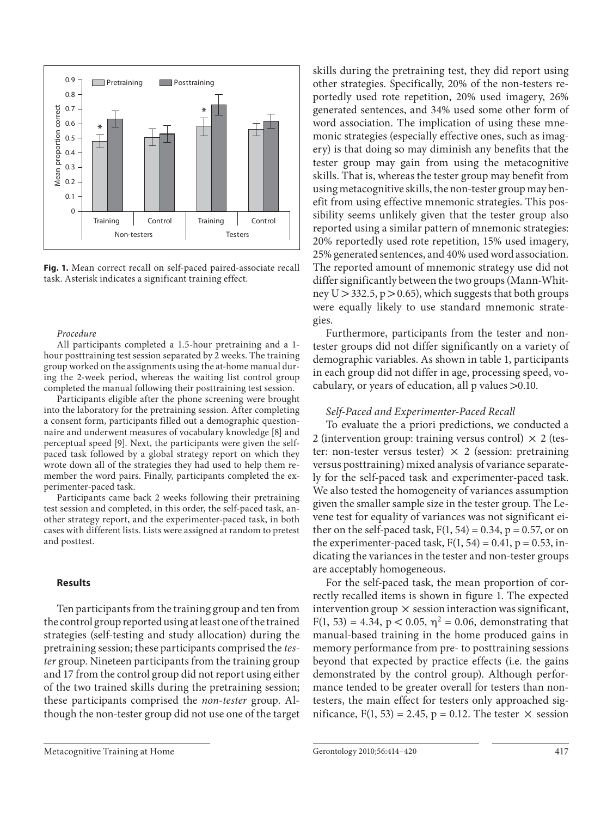

**Fig. 1.** Mean correct recall on self-paced paired-associate recall task. Asterisk indicates a significant training effect.

#### *Procedure*

 All participants completed a 1.5-hour pretraining and a 1 hour posttraining test session separated by 2 weeks. The training group worked on the assignments using the at-home manual during the 2-week period, whereas the waiting list control group completed the manual following their posttraining test session.

 Participants eligible after the phone screening were brought into the laboratory for the pretraining session. After completing a consent form, participants filled out a demographic questionnaire and underwent measures of vocabulary knowledge [8] and perceptual speed [9]. Next, the participants were given the selfpaced task followed by a global strategy report on which they wrote down all of the strategies they had used to help them remember the word pairs. Finally, participants completed the experimenter-paced task.

 Participants came back 2 weeks following their pretraining test session and completed, in this order, the self-paced task, another strategy report, and the experimenter-paced task, in both cases with different lists. Lists were assigned at random to pretest and posttest.

#### **Results**

 Ten participants from the training group and ten from the control group reported using at least one of the trained strategies (self-testing and study allocation) during the pretraining session; these participants comprised the *tester* group. Nineteen participants from the training group and 17 from the control group did not report using either of the two trained skills during the pretraining session; these participants comprised the *non-tester* group. Although the non-tester group did not use one of the target

skills during the pretraining test, they did report using other strategies. Specifically, 20% of the non-testers reportedly used rote repetition, 20% used imagery, 26% generated sentences, and 34% used some other form of word association. The implication of using these mnemonic strategies (especially effective ones, such as imagery) is that doing so may diminish any benefits that the tester group may gain from using the metacognitive skills. That is, whereas the tester group may benefit from using metacognitive skills, the non-tester group may benefit from using effective mnemonic strategies. This possibility seems unlikely given that the tester group also reported using a similar pattern of mnemonic strategies: 20% reportedly used rote repetition, 15% used imagery, 25% generated sentences, and 40% used word association. The reported amount of mnemonic strategy use did not differ significantly between the two groups (Mann-Whitney U  $>$  332.5, p  $>$  0.65), which suggests that both groups were equally likely to use standard mnemonic strategies.

 Furthermore, participants from the tester and nontester groups did not differ significantly on a variety of demographic variables. As shown in table 1, participants in each group did not differ in age, processing speed, vocabulary, or years of education, all  $p$  values  $> 0.10$ .

#### *Self-Paced and Experimenter-Paced Recall*

 To evaluate the a priori predictions, we conducted a 2 (intervention group: training versus control)  $\times$  2 (tester: non-tester versus tester)  $\times$  2 (session: pretraining versus posttraining) mixed analysis of variance separately for the self-paced task and experimenter-paced task. We also tested the homogeneity of variances assumption given the smaller sample size in the tester group. The Levene test for equality of variances was not significant either on the self-paced task,  $F(1, 54) = 0.34$ ,  $p = 0.57$ , or on the experimenter-paced task,  $F(1, 54) = 0.41$ ,  $p = 0.53$ , indicating the variances in the tester and non-tester groups are acceptably homogeneous.

 For the self-paced task, the mean proportion of correctly recalled items is shown in figure 1. The expected intervention group  $\times$  session interaction was significant,  $F(1, 53) = 4.34, p < 0.05, \eta^2 = 0.06$ , demonstrating that manual-based training in the home produced gains in memory performance from pre- to posttraining sessions beyond that expected by practice effects (i.e. the gains demonstrated by the control group). Although performance tended to be greater overall for testers than nontesters, the main effect for testers only approached significance,  $F(1, 53) = 2.45$ ,  $p = 0.12$ . The tester  $\times$  session

Metacognitive Training at Home  $\frac{1}{2}$  417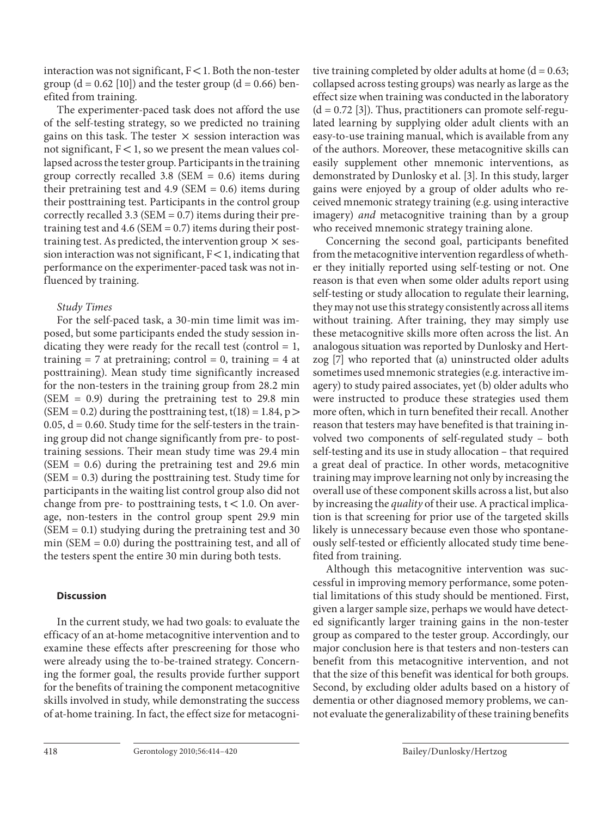interaction was not significant,  $F < 1$ . Both the non-tester group  $(d = 0.62$  [10]) and the tester group  $(d = 0.66)$  benefited from training.

 The experimenter-paced task does not afford the use of the self-testing strategy, so we predicted no training gains on this task. The tester  $\times$  session interaction was not significant,  $F < 1$ , so we present the mean values collapsed across the tester group. Participants in the training group correctly recalled  $3.8$  (SEM = 0.6) items during their pretraining test and  $4.9$  (SEM = 0.6) items during their posttraining test. Participants in the control group correctly recalled  $3.3$  (SEM = 0.7) items during their pretraining test and  $4.6$  (SEM = 0.7) items during their posttraining test. As predicted, the intervention group  $\times$  session interaction was not significant,  $F < 1$ , indicating that performance on the experimenter-paced task was not influenced by training.

# *Study Times*

 For the self-paced task, a 30-min time limit was imposed, but some participants ended the study session indicating they were ready for the recall test (control  $= 1$ , training = 7 at pretraining; control = 0, training = 4 at posttraining). Mean study time significantly increased for the non-testers in the training group from 28.2 min (SEM =  $0.9$ ) during the pretraining test to 29.8 min (SEM = 0.2) during the posttraining test,  $t(18) = 1.84$ , p  $>$ 0.05,  $d = 0.60$ . Study time for the self-testers in the training group did not change significantly from pre- to posttraining sessions. Their mean study time was 29.4 min  $(SEM = 0.6)$  during the pretraining test and 29.6 min (SEM = 0.3) during the posttraining test. Study time for participants in the waiting list control group also did not change from pre- to posttraining tests,  $t < 1.0$ . On average, non-testers in the control group spent 29.9 min (SEM = 0.1) studying during the pretraining test and 30 min (SEM = 0.0) during the posttraining test, and all of the testers spent the entire 30 min during both tests.

# **Discussion**

 In the current study, we had two goals: to evaluate the efficacy of an at-home metacognitive intervention and to examine these effects after prescreening for those who were already using the to-be-trained strategy. Concerning the former goal, the results provide further support for the benefits of training the component metacognitive skills involved in study, while demonstrating the success of at-home training. In fact, the effect size for metacognitive training completed by older adults at home  $(d = 0.63;$ collapsed across testing groups) was nearly as large as the effect size when training was conducted in the laboratory  $(d = 0.72$  [3]). Thus, practitioners can promote self-regulated learning by supplying older adult clients with an easy-to-use training manual, which is available from any of the authors. Moreover, these metacognitive skills can easily supplement other mnemonic interventions, as demonstrated by Dunlosky et al. [3]. In this study, larger gains were enjoyed by a group of older adults who received mnemonic strategy training (e.g. using interactive imagery) *and* metacognitive training than by a group who received mnemonic strategy training alone.

 Concerning the second goal, participants benefited from the metacognitive intervention regardless of whether they initially reported using self-testing or not. One reason is that even when some older adults report using self-testing or study allocation to regulate their learning, they may not use this strategy consistently across all items without training. After training, they may simply use these metacognitive skills more often across the list. An analogous situation was reported by Dunlosky and Hertzog [7] who reported that (a) uninstructed older adults sometimes used mnemonic strategies (e.g. interactive imagery) to study paired associates, yet (b) older adults who were instructed to produce these strategies used them more often, which in turn benefited their recall. Another reason that testers may have benefited is that training involved two components of self-regulated study – both self-testing and its use in study allocation – that required a great deal of practice. In other words, metacognitive training may improve learning not only by increasing the overall use of these component skills across a list, but also by increasing the *quality* of their use. A practical implication is that screening for prior use of the targeted skills likely is unnecessary because even those who spontaneously self-tested or efficiently allocated study time benefited from training.

 Although this metacognitive intervention was successful in improving memory performance, some potential limitations of this study should be mentioned. First, given a larger sample size, perhaps we would have detected significantly larger training gains in the non-tester group as compared to the tester group. Accordingly, our major conclusion here is that testers and non-testers can benefit from this metacognitive intervention, and not that the size of this benefit was identical for both groups. Second, by excluding older adults based on a history of dementia or other diagnosed memory problems, we cannot evaluate the generalizability of these training benefits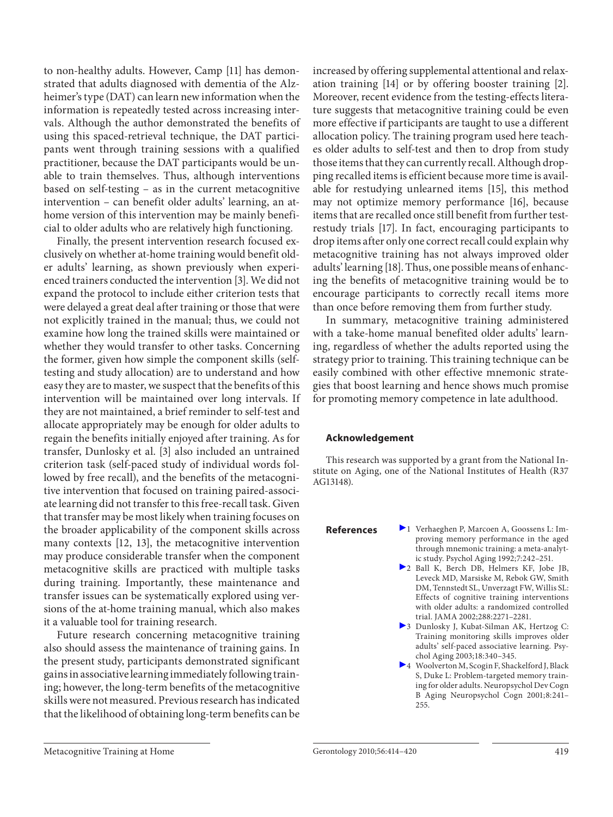to non-healthy adults. However, Camp [11] has demonstrated that adults diagnosed with dementia of the Alzheimer's type (DAT) can learn new information when the information is repeatedly tested across increasing intervals. Although the author demonstrated the benefits of using this spaced-retrieval technique, the DAT participants went through training sessions with a qualified practitioner, because the DAT participants would be unable to train themselves. Thus, although interventions based on self-testing – as in the current metacognitive intervention – can benefit older adults' learning, an athome version of this intervention may be mainly beneficial to older adults who are relatively high functioning.

 Finally, the present intervention research focused exclusively on whether at-home training would benefit older adults' learning, as shown previously when experienced trainers conducted the intervention [3] . We did not expand the protocol to include either criterion tests that were delayed a great deal after training or those that were not explicitly trained in the manual; thus, we could not examine how long the trained skills were maintained or whether they would transfer to other tasks. Concerning the former, given how simple the component skills (selftesting and study allocation) are to understand and how easy they are to master, we suspect that the benefits of this intervention will be maintained over long intervals. If they are not maintained, a brief reminder to self-test and allocate appropriately may be enough for older adults to regain the benefits initially enjoyed after training. As for transfer, Dunlosky et al. [3] also included an untrained criterion task (self-paced study of individual words followed by free recall), and the benefits of the metacognitive intervention that focused on training paired-associate learning did not transfer to this free-recall task. Given that transfer may be most likely when training focuses on the broader applicability of the component skills across many contexts  $[12, 13]$ , the metacognitive intervention may produce considerable transfer when the component metacognitive skills are practiced with multiple tasks during training. Importantly, these maintenance and transfer issues can be systematically explored using versions of the at-home training manual, which also makes it a valuable tool for training research.

 Future research concerning metacognitive training also should assess the maintenance of training gains. In the present study, participants demonstrated significant gains in associative learning immediately following training; however, the long-term benefits of the metacognitive skills were not measured. Previous research has indicated that the likelihood of obtaining long-term benefits can be

increased by offering supplemental attentional and relaxation training [14] or by offering booster training [2]. Moreover, recent evidence from the testing-effects literature suggests that metacognitive training could be even more effective if participants are taught to use a different allocation policy. The training program used here teaches older adults to self-test and then to drop from study those items that they can currently recall. Although dropping recalled items is efficient because more time is available for restudying unlearned items [15], this method may not optimize memory performance [16], because items that are recalled once still benefit from further testrestudy trials [17]. In fact, encouraging participants to drop items after only one correct recall could explain why metacognitive training has not always improved older adults' learning [18]. Thus, one possible means of enhancing the benefits of metacognitive training would be to encourage participants to correctly recall items more than once before removing them from further study.

 In summary, metacognitive training administered with a take-home manual benefited older adults' learning, regardless of whether the adults reported using the strategy prior to training. This training technique can be easily combined with other effective mnemonic strategies that boost learning and hence shows much promise for promoting memory competence in late adulthood.

#### **Acknowledgement**

 This research was supported by a grant from the National Institute on Aging, one of the National Institutes of Health (R37 AG13148).

- **References** 21 Verhaeghen P, Marcoen A, Goossens L: Improving memory performance in the aged through mnemonic training: a meta-analytic study. Psychol Aging 1992;7:242–251.
	- 2 Ball K, Berch DB, Helmers KF, Jobe JB, Leveck MD, Marsiske M, Rebok GW, Smith DM, Tennstedt SL, Unverzagt FW, Willis SL: Effects of cognitive training interventions with older adults: a randomized controlled trial. JAMA 2002;288:2271–2281.
	- 3 Dunlosky J, Kubat-Silman AK, Hertzog C: Training monitoring skills improves older adults' self-paced associative learning. Psychol Aging 2003;18:340–345.
	- 4 Woolverton M, Scogin F, Shackelford J, Black S, Duke L: Problem-targeted memory training for older adults. Neuropsychol Dev Cogn B Aging Neuropsychol Cogn 2001;8:241– 255.